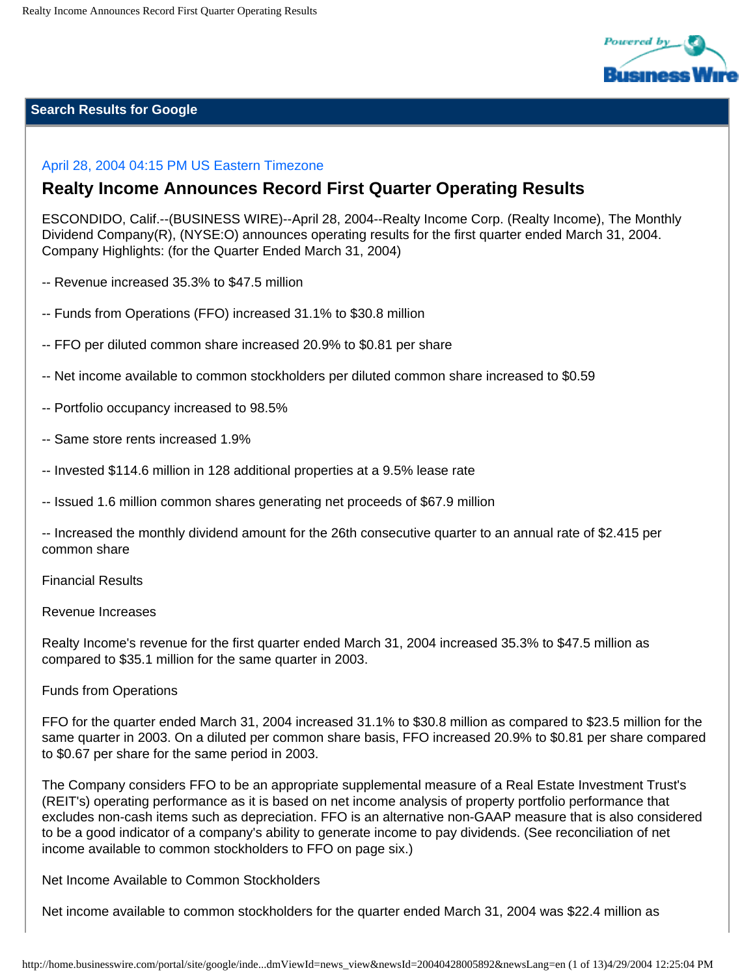

## **Search Results for Google**

# April 28, 2004 04:15 PM US Eastern Timezone

# **Realty Income Announces Record First Quarter Operating Results**

ESCONDIDO, Calif.--(BUSINESS WIRE)--April 28, 2004--Realty Income Corp. (Realty Income), The Monthly Dividend Company(R), (NYSE:O) announces operating results for the first quarter ended March 31, 2004. Company Highlights: (for the Quarter Ended March 31, 2004)

- -- Revenue increased 35.3% to \$47.5 million
- -- Funds from Operations (FFO) increased 31.1% to \$30.8 million
- -- FFO per diluted common share increased 20.9% to \$0.81 per share
- -- Net income available to common stockholders per diluted common share increased to \$0.59
- -- Portfolio occupancy increased to 98.5%
- -- Same store rents increased 1.9%
- -- Invested \$114.6 million in 128 additional properties at a 9.5% lease rate
- -- Issued 1.6 million common shares generating net proceeds of \$67.9 million

-- Increased the monthly dividend amount for the 26th consecutive quarter to an annual rate of \$2.415 per common share

#### Financial Results

#### Revenue Increases

Realty Income's revenue for the first quarter ended March 31, 2004 increased 35.3% to \$47.5 million as compared to \$35.1 million for the same quarter in 2003.

#### Funds from Operations

FFO for the quarter ended March 31, 2004 increased 31.1% to \$30.8 million as compared to \$23.5 million for the same quarter in 2003. On a diluted per common share basis, FFO increased 20.9% to \$0.81 per share compared to \$0.67 per share for the same period in 2003.

The Company considers FFO to be an appropriate supplemental measure of a Real Estate Investment Trust's (REIT's) operating performance as it is based on net income analysis of property portfolio performance that excludes non-cash items such as depreciation. FFO is an alternative non-GAAP measure that is also considered to be a good indicator of a company's ability to generate income to pay dividends. (See reconciliation of net income available to common stockholders to FFO on page six.)

Net Income Available to Common Stockholders

Net income available to common stockholders for the quarter ended March 31, 2004 was \$22.4 million as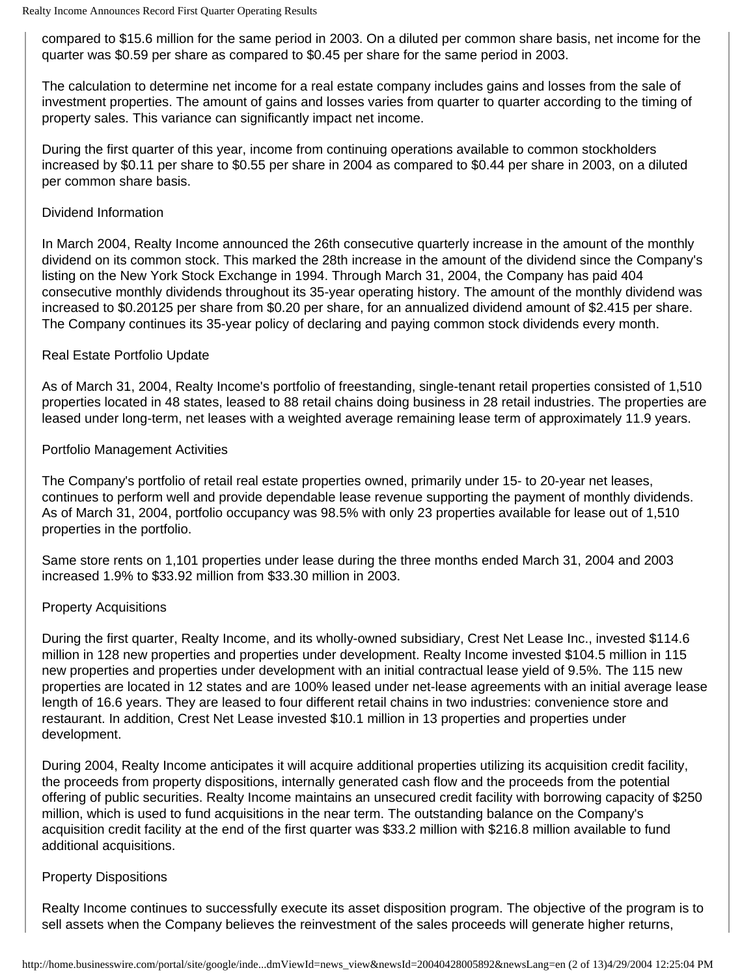compared to \$15.6 million for the same period in 2003. On a diluted per common share basis, net income for the quarter was \$0.59 per share as compared to \$0.45 per share for the same period in 2003.

The calculation to determine net income for a real estate company includes gains and losses from the sale of investment properties. The amount of gains and losses varies from quarter to quarter according to the timing of property sales. This variance can significantly impact net income.

During the first quarter of this year, income from continuing operations available to common stockholders increased by \$0.11 per share to \$0.55 per share in 2004 as compared to \$0.44 per share in 2003, on a diluted per common share basis.

## Dividend Information

In March 2004, Realty Income announced the 26th consecutive quarterly increase in the amount of the monthly dividend on its common stock. This marked the 28th increase in the amount of the dividend since the Company's listing on the New York Stock Exchange in 1994. Through March 31, 2004, the Company has paid 404 consecutive monthly dividends throughout its 35-year operating history. The amount of the monthly dividend was increased to \$0.20125 per share from \$0.20 per share, for an annualized dividend amount of \$2.415 per share. The Company continues its 35-year policy of declaring and paying common stock dividends every month.

# Real Estate Portfolio Update

As of March 31, 2004, Realty Income's portfolio of freestanding, single-tenant retail properties consisted of 1,510 properties located in 48 states, leased to 88 retail chains doing business in 28 retail industries. The properties are leased under long-term, net leases with a weighted average remaining lease term of approximately 11.9 years.

# Portfolio Management Activities

The Company's portfolio of retail real estate properties owned, primarily under 15- to 20-year net leases, continues to perform well and provide dependable lease revenue supporting the payment of monthly dividends. As of March 31, 2004, portfolio occupancy was 98.5% with only 23 properties available for lease out of 1,510 properties in the portfolio.

Same store rents on 1,101 properties under lease during the three months ended March 31, 2004 and 2003 increased 1.9% to \$33.92 million from \$33.30 million in 2003.

# Property Acquisitions

During the first quarter, Realty Income, and its wholly-owned subsidiary, Crest Net Lease Inc., invested \$114.6 million in 128 new properties and properties under development. Realty Income invested \$104.5 million in 115 new properties and properties under development with an initial contractual lease yield of 9.5%. The 115 new properties are located in 12 states and are 100% leased under net-lease agreements with an initial average lease length of 16.6 years. They are leased to four different retail chains in two industries: convenience store and restaurant. In addition, Crest Net Lease invested \$10.1 million in 13 properties and properties under development.

During 2004, Realty Income anticipates it will acquire additional properties utilizing its acquisition credit facility, the proceeds from property dispositions, internally generated cash flow and the proceeds from the potential offering of public securities. Realty Income maintains an unsecured credit facility with borrowing capacity of \$250 million, which is used to fund acquisitions in the near term. The outstanding balance on the Company's acquisition credit facility at the end of the first quarter was \$33.2 million with \$216.8 million available to fund additional acquisitions.

## Property Dispositions

Realty Income continues to successfully execute its asset disposition program. The objective of the program is to sell assets when the Company believes the reinvestment of the sales proceeds will generate higher returns,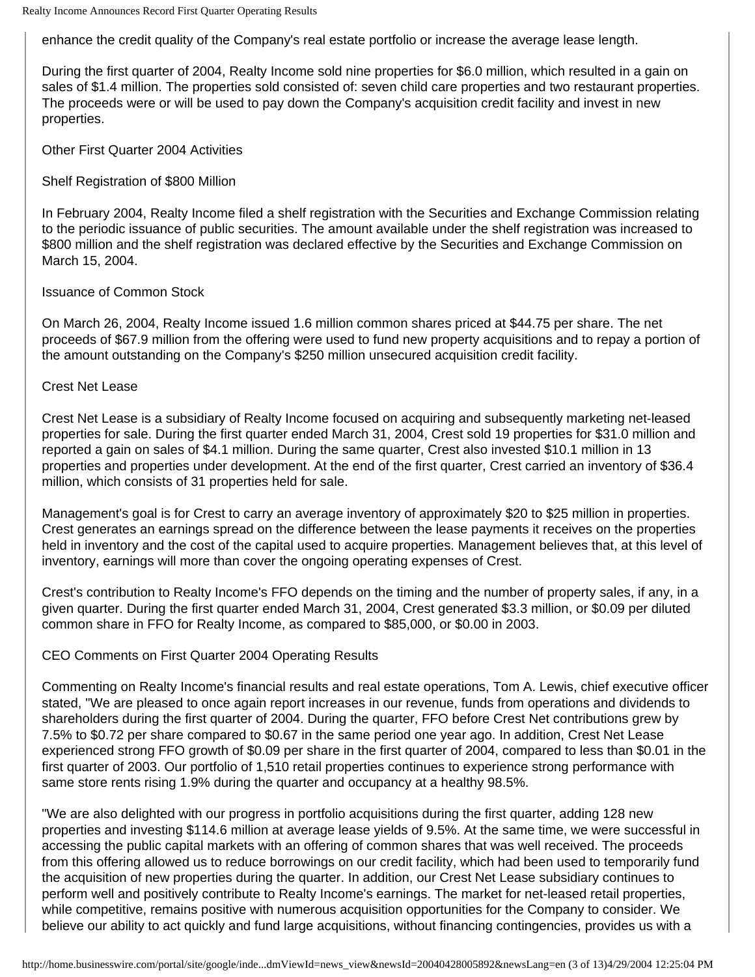enhance the credit quality of the Company's real estate portfolio or increase the average lease length.

During the first quarter of 2004, Realty Income sold nine properties for \$6.0 million, which resulted in a gain on sales of \$1.4 million. The properties sold consisted of: seven child care properties and two restaurant properties. The proceeds were or will be used to pay down the Company's acquisition credit facility and invest in new properties.

Other First Quarter 2004 Activities

Shelf Registration of \$800 Million

In February 2004, Realty Income filed a shelf registration with the Securities and Exchange Commission relating to the periodic issuance of public securities. The amount available under the shelf registration was increased to \$800 million and the shelf registration was declared effective by the Securities and Exchange Commission on March 15, 2004.

### Issuance of Common Stock

On March 26, 2004, Realty Income issued 1.6 million common shares priced at \$44.75 per share. The net proceeds of \$67.9 million from the offering were used to fund new property acquisitions and to repay a portion of the amount outstanding on the Company's \$250 million unsecured acquisition credit facility.

## Crest Net Lease

Crest Net Lease is a subsidiary of Realty Income focused on acquiring and subsequently marketing net-leased properties for sale. During the first quarter ended March 31, 2004, Crest sold 19 properties for \$31.0 million and reported a gain on sales of \$4.1 million. During the same quarter, Crest also invested \$10.1 million in 13 properties and properties under development. At the end of the first quarter, Crest carried an inventory of \$36.4 million, which consists of 31 properties held for sale.

Management's goal is for Crest to carry an average inventory of approximately \$20 to \$25 million in properties. Crest generates an earnings spread on the difference between the lease payments it receives on the properties held in inventory and the cost of the capital used to acquire properties. Management believes that, at this level of inventory, earnings will more than cover the ongoing operating expenses of Crest.

Crest's contribution to Realty Income's FFO depends on the timing and the number of property sales, if any, in a given quarter. During the first quarter ended March 31, 2004, Crest generated \$3.3 million, or \$0.09 per diluted common share in FFO for Realty Income, as compared to \$85,000, or \$0.00 in 2003.

## CEO Comments on First Quarter 2004 Operating Results

Commenting on Realty Income's financial results and real estate operations, Tom A. Lewis, chief executive officer stated, "We are pleased to once again report increases in our revenue, funds from operations and dividends to shareholders during the first quarter of 2004. During the quarter, FFO before Crest Net contributions grew by 7.5% to \$0.72 per share compared to \$0.67 in the same period one year ago. In addition, Crest Net Lease experienced strong FFO growth of \$0.09 per share in the first quarter of 2004, compared to less than \$0.01 in the first quarter of 2003. Our portfolio of 1,510 retail properties continues to experience strong performance with same store rents rising 1.9% during the quarter and occupancy at a healthy 98.5%.

"We are also delighted with our progress in portfolio acquisitions during the first quarter, adding 128 new properties and investing \$114.6 million at average lease yields of 9.5%. At the same time, we were successful in accessing the public capital markets with an offering of common shares that was well received. The proceeds from this offering allowed us to reduce borrowings on our credit facility, which had been used to temporarily fund the acquisition of new properties during the quarter. In addition, our Crest Net Lease subsidiary continues to perform well and positively contribute to Realty Income's earnings. The market for net-leased retail properties, while competitive, remains positive with numerous acquisition opportunities for the Company to consider. We believe our ability to act quickly and fund large acquisitions, without financing contingencies, provides us with a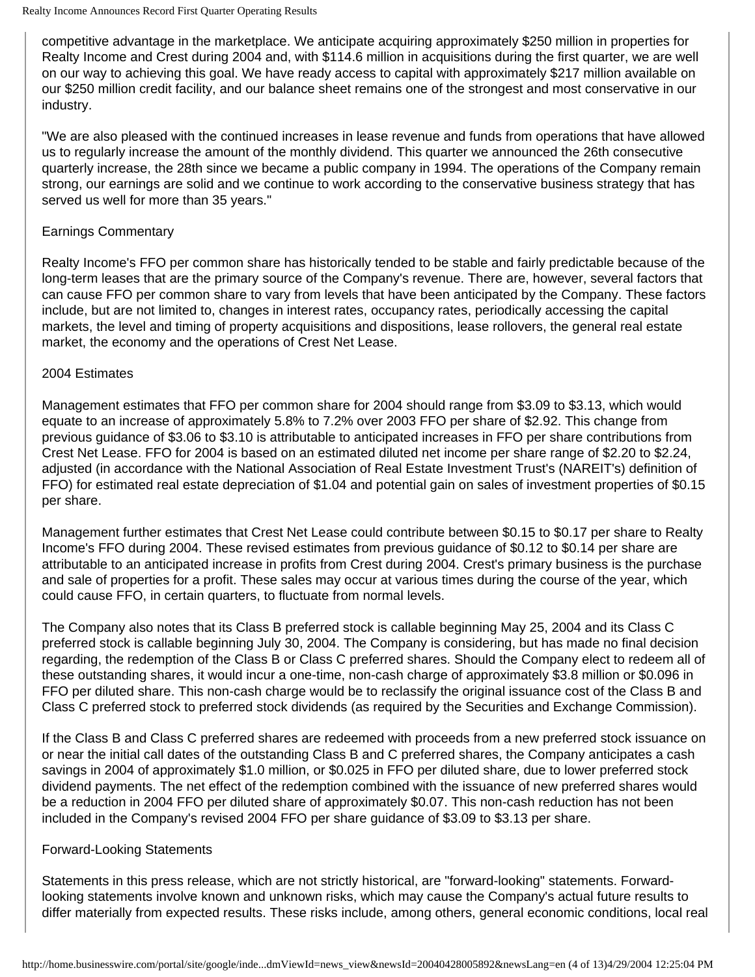competitive advantage in the marketplace. We anticipate acquiring approximately \$250 million in properties for Realty Income and Crest during 2004 and, with \$114.6 million in acquisitions during the first quarter, we are well on our way to achieving this goal. We have ready access to capital with approximately \$217 million available on our \$250 million credit facility, and our balance sheet remains one of the strongest and most conservative in our industry.

"We are also pleased with the continued increases in lease revenue and funds from operations that have allowed us to regularly increase the amount of the monthly dividend. This quarter we announced the 26th consecutive quarterly increase, the 28th since we became a public company in 1994. The operations of the Company remain strong, our earnings are solid and we continue to work according to the conservative business strategy that has served us well for more than 35 years."

# Earnings Commentary

Realty Income's FFO per common share has historically tended to be stable and fairly predictable because of the long-term leases that are the primary source of the Company's revenue. There are, however, several factors that can cause FFO per common share to vary from levels that have been anticipated by the Company. These factors include, but are not limited to, changes in interest rates, occupancy rates, periodically accessing the capital markets, the level and timing of property acquisitions and dispositions, lease rollovers, the general real estate market, the economy and the operations of Crest Net Lease.

## 2004 Estimates

Management estimates that FFO per common share for 2004 should range from \$3.09 to \$3.13, which would equate to an increase of approximately 5.8% to 7.2% over 2003 FFO per share of \$2.92. This change from previous guidance of \$3.06 to \$3.10 is attributable to anticipated increases in FFO per share contributions from Crest Net Lease. FFO for 2004 is based on an estimated diluted net income per share range of \$2.20 to \$2.24, adjusted (in accordance with the National Association of Real Estate Investment Trust's (NAREIT's) definition of FFO) for estimated real estate depreciation of \$1.04 and potential gain on sales of investment properties of \$0.15 per share.

Management further estimates that Crest Net Lease could contribute between \$0.15 to \$0.17 per share to Realty Income's FFO during 2004. These revised estimates from previous guidance of \$0.12 to \$0.14 per share are attributable to an anticipated increase in profits from Crest during 2004. Crest's primary business is the purchase and sale of properties for a profit. These sales may occur at various times during the course of the year, which could cause FFO, in certain quarters, to fluctuate from normal levels.

The Company also notes that its Class B preferred stock is callable beginning May 25, 2004 and its Class C preferred stock is callable beginning July 30, 2004. The Company is considering, but has made no final decision regarding, the redemption of the Class B or Class C preferred shares. Should the Company elect to redeem all of these outstanding shares, it would incur a one-time, non-cash charge of approximately \$3.8 million or \$0.096 in FFO per diluted share. This non-cash charge would be to reclassify the original issuance cost of the Class B and Class C preferred stock to preferred stock dividends (as required by the Securities and Exchange Commission).

If the Class B and Class C preferred shares are redeemed with proceeds from a new preferred stock issuance on or near the initial call dates of the outstanding Class B and C preferred shares, the Company anticipates a cash savings in 2004 of approximately \$1.0 million, or \$0.025 in FFO per diluted share, due to lower preferred stock dividend payments. The net effect of the redemption combined with the issuance of new preferred shares would be a reduction in 2004 FFO per diluted share of approximately \$0.07. This non-cash reduction has not been included in the Company's revised 2004 FFO per share guidance of \$3.09 to \$3.13 per share.

## Forward-Looking Statements

Statements in this press release, which are not strictly historical, are "forward-looking" statements. Forwardlooking statements involve known and unknown risks, which may cause the Company's actual future results to differ materially from expected results. These risks include, among others, general economic conditions, local real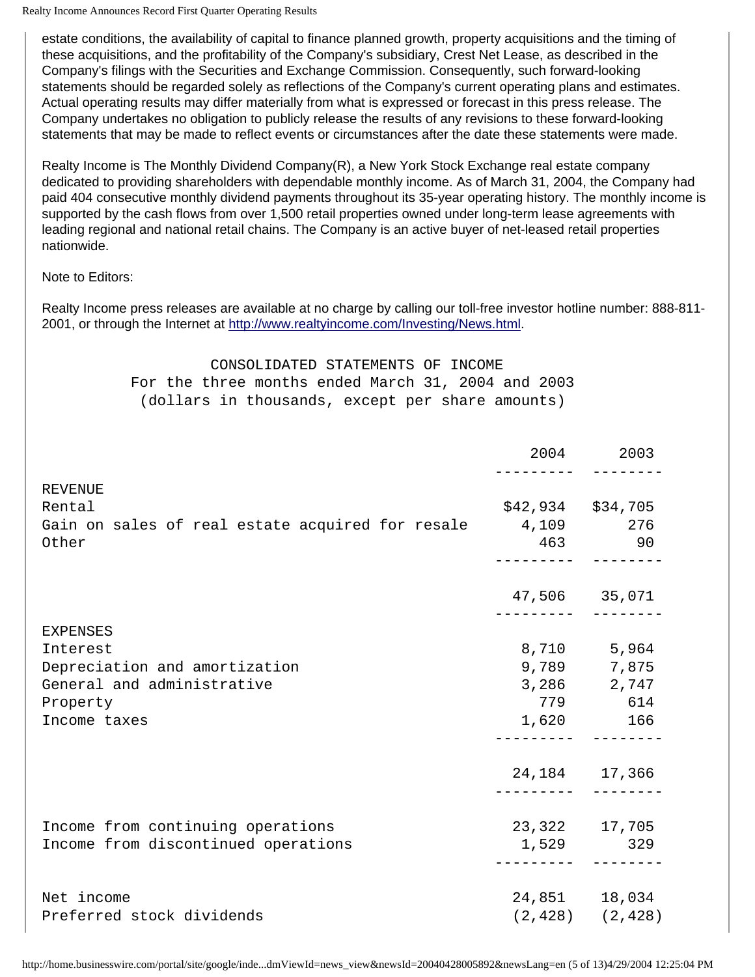estate conditions, the availability of capital to finance planned growth, property acquisitions and the timing of these acquisitions, and the profitability of the Company's subsidiary, Crest Net Lease, as described in the Company's filings with the Securities and Exchange Commission. Consequently, such forward-looking statements should be regarded solely as reflections of the Company's current operating plans and estimates. Actual operating results may differ materially from what is expressed or forecast in this press release. The Company undertakes no obligation to publicly release the results of any revisions to these forward-looking statements that may be made to reflect events or circumstances after the date these statements were made.

Realty Income is The Monthly Dividend Company(R), a New York Stock Exchange real estate company dedicated to providing shareholders with dependable monthly income. As of March 31, 2004, the Company had paid 404 consecutive monthly dividend payments throughout its 35-year operating history. The monthly income is supported by the cash flows from over 1,500 retail properties owned under long-term lease agreements with leading regional and national retail chains. The Company is an active buyer of net-leased retail properties nationwide.

Note to Editors:

Realty Income press releases are available at no charge by calling our toll-free investor hotline number: 888-811- 2001, or through the Internet at<http://www.realtyincome.com/Investing/News.html>.

# CONSOLIDATED STATEMENTS OF INCOME For the three months ended March 31, 2004 and 2003

(dollars in thousands, except per share amounts)

|                                                        |       | 2004 2003             |
|--------------------------------------------------------|-------|-----------------------|
| REVENUE                                                |       |                       |
| Rental                                                 |       | \$42,934 \$34,705     |
| Gain on sales of real estate acquired for resale 4,109 |       | 276                   |
| Other                                                  |       | 463 90                |
|                                                        |       | 47,506 35,071         |
|                                                        |       |                       |
| <b>EXPENSES</b>                                        |       |                       |
| Interest                                               |       | 8,710 5,964           |
| Depreciation and amortization                          |       | 9,789 7,875           |
| General and administrative                             |       | 3,286 2,747           |
| Property                                               |       | 779 614               |
| Income taxes                                           |       | 1,620 166             |
|                                                        |       | 24, 184 17, 366       |
|                                                        |       |                       |
| Income from continuing operations                      |       | 23,322 17,705         |
| Income from discontinued operations                    | 1,529 | 329                   |
| Net income                                             |       | 24,851 18,034         |
| Preferred stock dividends                              |       | $(2, 428)$ $(2, 428)$ |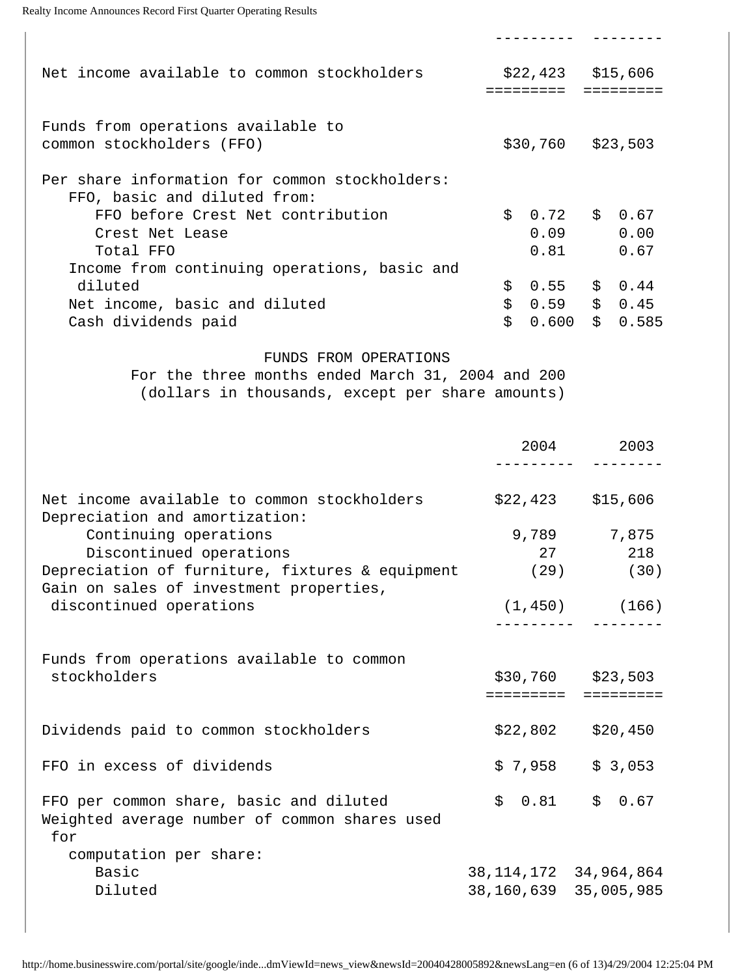```
Realty Income Announces Record First Quarter Operating Results
```

| Net income available to common stockholders                       | $$22,423$ $$15,606$ |             |
|-------------------------------------------------------------------|---------------------|-------------|
| Funds from operations available to<br>common stockholders (FFO)   | $$30,760$ $$23,503$ |             |
| Per share information for common stockholders:                    |                     |             |
| FFO, basic and diluted from:<br>FFO before Crest Net contribution | $$0.72$ $$0.67$     |             |
| Crest Net Lease                                                   | 0.09                | 0.00        |
| Total FFO                                                         | 0.81                | 0.67        |
| Income from continuing operations, basic and                      |                     |             |
| diluted                                                           | \$<br>0.55          | \$<br>0.44  |
| Net income, basic and diluted                                     | \$<br>0.59          | \$0.45      |
| Cash dividends paid                                               | \$<br>0.600         | \$<br>0.585 |

--------- --------

#### FUNDS FROM OPERATIONS

 For the three months ended March 31, 2004 and 200 (dollars in thousands, except per share amounts)

|                                                                                                 | 2004                      | 2003                |
|-------------------------------------------------------------------------------------------------|---------------------------|---------------------|
|                                                                                                 |                           |                     |
| Net income available to common stockholders<br>Depreciation and amortization:                   |                           | $$22,423$ $$15,606$ |
| Continuing operations                                                                           |                           | 9,789 7,875         |
| Discontinued operations                                                                         | 27                        | 218                 |
| Depreciation of furniture, fixtures & equipment<br>Gain on sales of investment properties,      |                           | (30)<br>(29)        |
| discontinued operations                                                                         |                           | $(1, 450)$ (166)    |
|                                                                                                 |                           |                     |
| Funds from operations available to common                                                       |                           |                     |
| stockholders                                                                                    |                           | $$30,760$ $$23,503$ |
|                                                                                                 | . = = = = = = = =         | =========           |
| Dividends paid to common stockholders                                                           | \$22,802                  | \$20,450            |
| FFO in excess of dividends                                                                      | \$7,958                   | \$3,053             |
| FFO per common share, basic and diluted<br>Weighted average number of common shares used<br>for | \$0.81                    | \$0.67              |
| computation per share:                                                                          |                           |                     |
| Basic                                                                                           | 38, 114, 172 34, 964, 864 |                     |
| Diluted                                                                                         | 38, 160, 639 35, 005, 985 |                     |
|                                                                                                 |                           |                     |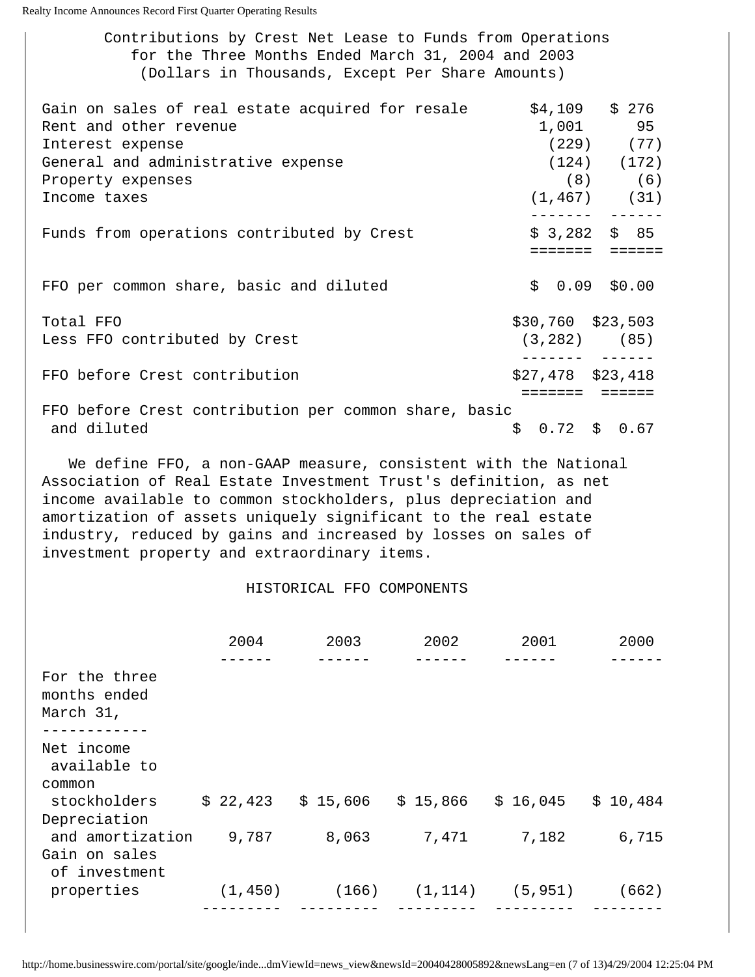Contributions by Crest Net Lease to Funds from Operations for the Three Months Ended March 31, 2004 and 2003 (Dollars in Thousands, Except Per Share Amounts)

| Gain on sales of real estate acquired for resale      |                     | $$4,109$ $$276$                |
|-------------------------------------------------------|---------------------|--------------------------------|
| Rent and other revenue                                |                     | 1,001 95                       |
| Interest expense                                      |                     | $(229)$ $(77)$                 |
| General and administrative expense                    |                     | $(124)$ $(172)$                |
| Property expenses                                     |                     | $(8)$ (6)                      |
| Income taxes                                          |                     | $(1, 467)$ (31)                |
| Funds from operations contributed by Crest            |                     | $$3,282$ $$85$<br>eeeeee eeeee |
| FFO per common share, basic and diluted               |                     | $$0.09$ \$0.00                 |
|                                                       |                     |                                |
| Total FFO                                             | \$30,760 \$23,503   |                                |
| Less FFO contributed by Crest                         | $(3, 282)$ (85)     |                                |
| FFO before Crest contribution                         | $$27,478$ $$23,418$ |                                |
| FFO before Crest contribution per common share, basic |                     |                                |
| and diluted                                           | $$0.72$$ \$ 0.67    |                                |

 We define FFO, a non-GAAP measure, consistent with the National Association of Real Estate Investment Trust's definition, as net income available to common stockholders, plus depreciation and amortization of assets uniquely significant to the real estate industry, reduced by gains and increased by losses on sales of investment property and extraordinary items.

#### HISTORICAL FFO COMPONENTS

|                                            | 2004     | 2003     | 2002     | 2001     | 2000     |
|--------------------------------------------|----------|----------|----------|----------|----------|
|                                            |          |          |          |          |          |
| For the three<br>months ended<br>March 31, |          |          |          |          |          |
|                                            |          |          |          |          |          |
| Net income<br>available to                 |          |          |          |          |          |
| common                                     |          |          |          |          |          |
| stockholders                               | \$22,423 | \$15,606 | \$15,866 | \$16,045 | \$10,484 |
| Depreciation                               |          |          |          |          |          |
| and amortization                           | 9,787    | 8,063    | 7,471    | 7,182    | 6,715    |
| Gain on sales<br>of investment             |          |          |          |          |          |
| properties                                 | (1, 450) | (166)    | (1, 114) | (5, 951) | (662)    |
|                                            |          |          |          |          |          |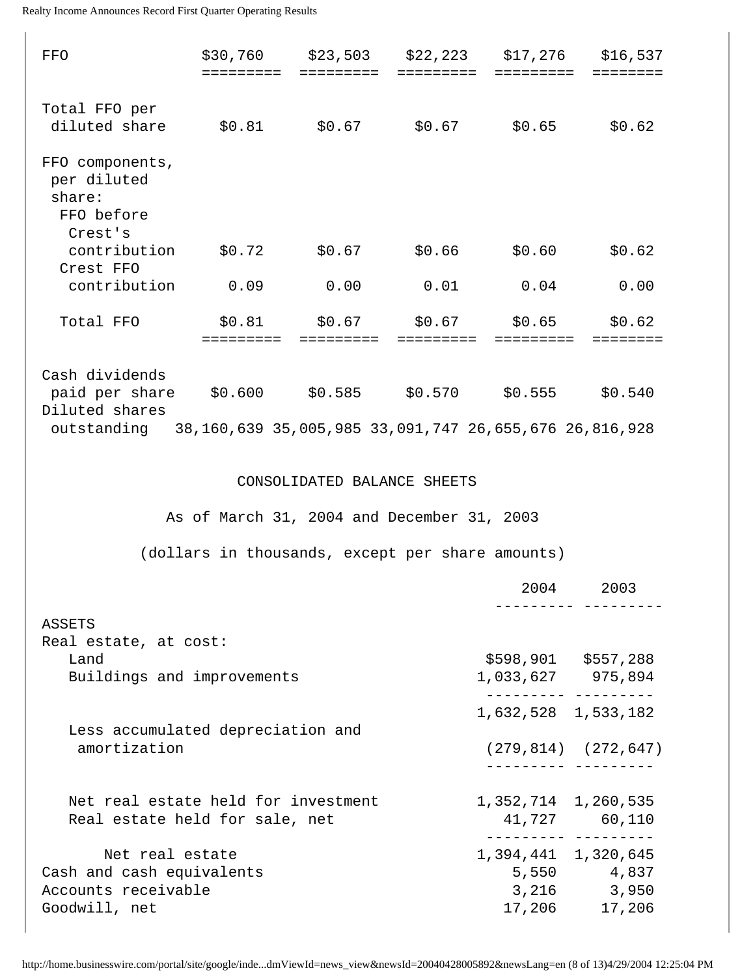| FFO                                                                                                                                | \$30,760<br>=========                            | \$23,503<br>=========                                               | \$22,223<br>========= | \$17,276<br>========= | \$16,537<br>========                        |
|------------------------------------------------------------------------------------------------------------------------------------|--------------------------------------------------|---------------------------------------------------------------------|-----------------------|-----------------------|---------------------------------------------|
| Total FFO per                                                                                                                      |                                                  |                                                                     |                       |                       |                                             |
| diluted share                                                                                                                      |                                                  | $$0.81$ $$0.67$                                                     | \$0.67                | \$0.65                | \$0.62                                      |
| FFO components,<br>per diluted<br>share:<br>FFO before<br>Crest's                                                                  |                                                  |                                                                     |                       |                       |                                             |
| contribution<br>Crest FFO                                                                                                          | \$0.72                                           | \$0.67                                                              | \$0.66                | \$0.60                | \$0.62                                      |
| contribution                                                                                                                       | 0.09                                             | 0.00                                                                | 0.01                  | 0.04                  | 0.00                                        |
| Total FFO                                                                                                                          | \$0.81<br>=========                              | \$0.67<br>$\equiv \equiv \equiv \equiv \equiv \equiv \equiv \equiv$ | \$0.67<br>=========   | \$0.65<br>=========   | \$0.62<br>========                          |
| Cash dividends<br>paid per share<br>Diluted shares<br>outstanding 38, 160, 639 35, 005, 985 33, 091, 747 26, 655, 676 26, 816, 928 | $$0.600$ $$0.585$                                |                                                                     | $$0.570$ $$0.555$     |                       | \$0.540                                     |
|                                                                                                                                    |                                                  | CONSOLIDATED BALANCE SHEETS                                         |                       |                       |                                             |
|                                                                                                                                    | As of March 31, 2004 and December 31, 2003       |                                                                     |                       |                       |                                             |
|                                                                                                                                    | (dollars in thousands, except per share amounts) |                                                                     |                       |                       |                                             |
|                                                                                                                                    |                                                  |                                                                     |                       | 2004                  | 2003                                        |
| <b>ASSETS</b>                                                                                                                      |                                                  |                                                                     |                       |                       |                                             |
| Real estate, at cost:<br>Land                                                                                                      |                                                  |                                                                     |                       |                       | \$598,901 \$557,288                         |
| Buildings and improvements                                                                                                         |                                                  |                                                                     |                       |                       | 1,033,627 975,894                           |
|                                                                                                                                    |                                                  |                                                                     |                       |                       | 1,632,528 1,533,182                         |
| Less accumulated depreciation and<br>amortization                                                                                  |                                                  |                                                                     |                       | ________ _____        | $(279, 814)$ $(272, 647)$                   |
| Net real estate held for investment<br>Real estate held for sale, net                                                              |                                                  |                                                                     |                       | 1,352,714 1,260,535   | 41,727 60,110<br>--------- ---------        |
| Net real estate<br>Cash and cash equivalents<br>Accounts receivable<br>Goodwill, net                                               |                                                  |                                                                     |                       | 1,394,441 1,320,645   | 5,550 4,837<br>3,216 3,950<br>17,206 17,206 |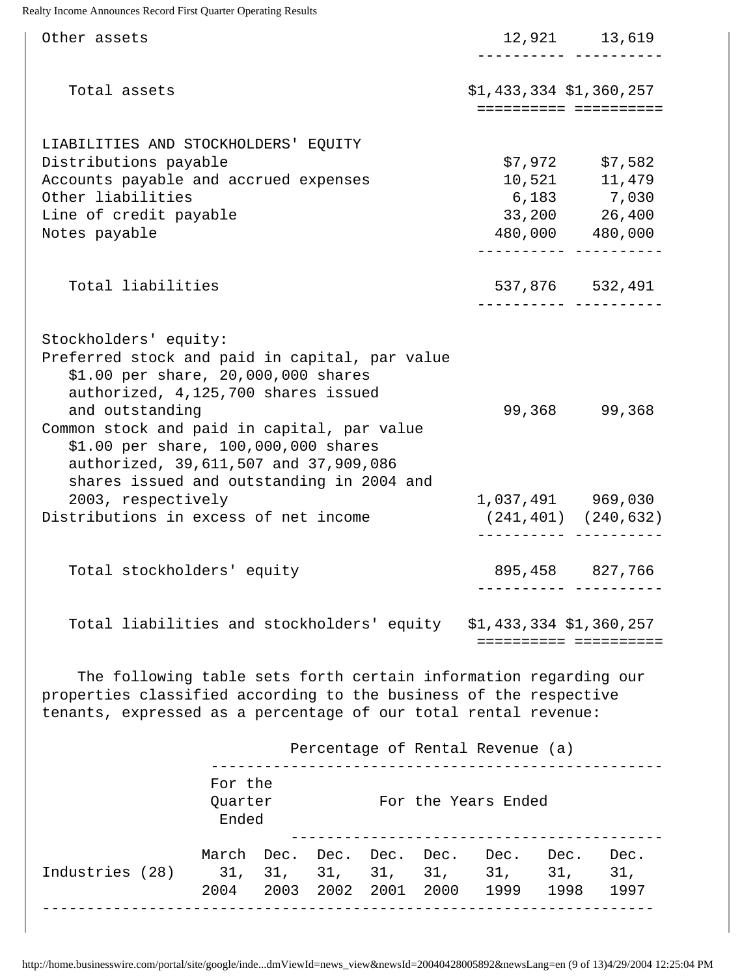| Other assets                                                                                                                                                                                                                                                                                                                                                                |  |  |                                                                                       |  |                                  |  | 12,921 13,619<br>---------- -------                                                 |
|-----------------------------------------------------------------------------------------------------------------------------------------------------------------------------------------------------------------------------------------------------------------------------------------------------------------------------------------------------------------------------|--|--|---------------------------------------------------------------------------------------|--|----------------------------------|--|-------------------------------------------------------------------------------------|
| Total assets                                                                                                                                                                                                                                                                                                                                                                |  |  | $$1,433,334$ $$1,360,257$                                                             |  |                                  |  |                                                                                     |
| LIABILITIES AND STOCKHOLDERS' EQUITY<br>Distributions payable<br>Accounts payable and accrued expenses<br>Other liabilities<br>Line of credit payable<br>Notes payable                                                                                                                                                                                                      |  |  | $$7,972$ $$7,582$<br>10,521 11,479<br>6,183 7,030<br>33,200 26,400<br>480,000 480,000 |  |                                  |  |                                                                                     |
| Total liabilities                                                                                                                                                                                                                                                                                                                                                           |  |  |                                                                                       |  |                                  |  | 537,876 532,491<br>. <u>_ _ _ _ _ _ _ _</u> _ _ _ _ _ _ _ _ _                       |
| Stockholders' equity:<br>Preferred stock and paid in capital, par value<br>\$1.00 per share, 20,000,000 shares<br>authorized, 4,125,700 shares issued<br>and outstanding<br>Common stock and paid in capital, par value<br>\$1.00 per share, 100,000,000 shares<br>authorized, 39,611,507 and 37,909,086<br>shares issued and outstanding in 2004 and<br>2003, respectively |  |  |                                                                                       |  |                                  |  | 99,368 99,368<br>1,037,491 969,030<br>$(241, 401)$ $(240, 632)$                     |
| Distributions in excess of net income                                                                                                                                                                                                                                                                                                                                       |  |  |                                                                                       |  |                                  |  |                                                                                     |
| Total stockholders' equity                                                                                                                                                                                                                                                                                                                                                  |  |  |                                                                                       |  |                                  |  | 895,458 827,766                                                                     |
| Total liabilities and stockholders' equity \$1,433,334 \$1,360,257                                                                                                                                                                                                                                                                                                          |  |  |                                                                                       |  |                                  |  |                                                                                     |
| The following table sets forth certain information regarding our<br>properties classified according to the business of the respective<br>tenants, expressed as a percentage of our total rental revenue:                                                                                                                                                                    |  |  |                                                                                       |  |                                  |  |                                                                                     |
|                                                                                                                                                                                                                                                                                                                                                                             |  |  |                                                                                       |  | Percentage of Rental Revenue (a) |  |                                                                                     |
| For the<br>Quarter<br>Ended                                                                                                                                                                                                                                                                                                                                                 |  |  |                                                                                       |  | For the Years Ended              |  |                                                                                     |
| Industries (28) 31, 31, 31, 31, 31, 31, 31, 31,                                                                                                                                                                                                                                                                                                                             |  |  |                                                                                       |  |                                  |  | March Dec. Dec. Dec. Dec. Dec. Dec. Dec.<br>2004 2003 2002 2001 2000 1999 1998 1997 |

http://home.businesswire.com/portal/site/google/inde...dmViewId=news\_view&newsId=20040428005892&newsLang=en (9 of 13)4/29/2004 12:25:04 PM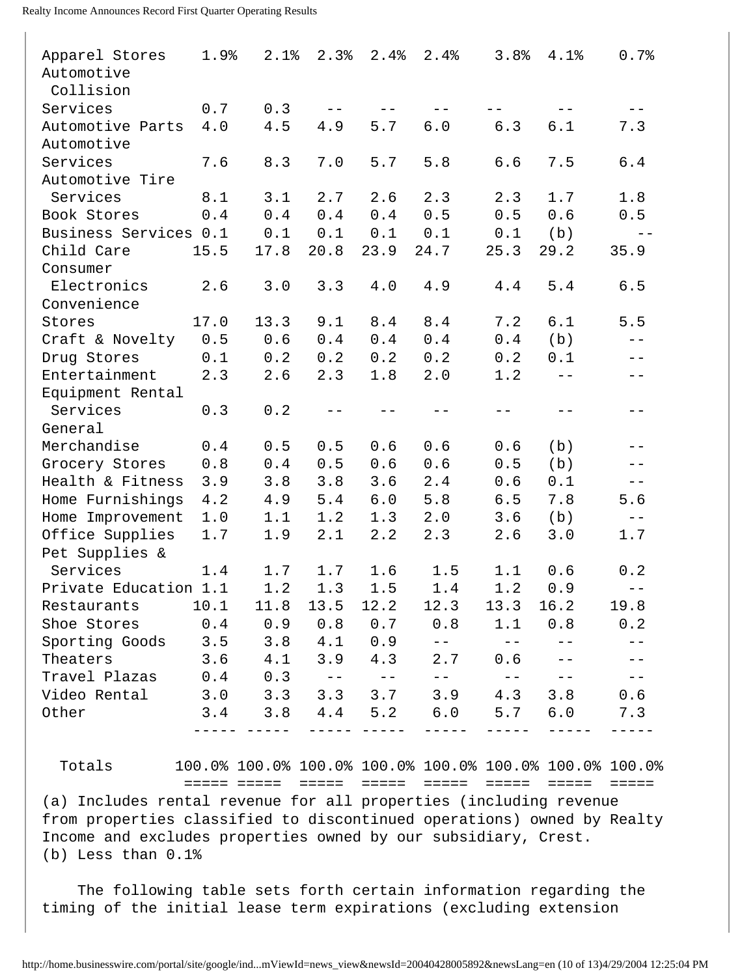| Apparel Stores        | 1.9% | 2.1% | 2.3%              | 2.4% | 2.4%  | 3.8%  | 4.1%  | 0.7%              |
|-----------------------|------|------|-------------------|------|-------|-------|-------|-------------------|
| Automotive            |      |      |                   |      |       |       |       |                   |
| Collision             |      |      |                   |      |       |       |       |                   |
| Services              | 0.7  | 0.3  | $ -$              |      |       |       |       |                   |
| Automotive Parts      | 4.0  | 4.5  | 4.9               | 5.7  | $6.0$ | 6.3   | 6.1   | 7.3               |
| Automotive            |      |      |                   |      |       |       |       |                   |
| Services              | 7.6  | 8.3  | 7.0               | 5.7  | 5.8   | 6.6   | 7.5   | 6.4               |
| Automotive Tire       |      |      |                   |      |       |       |       |                   |
| Services              | 8.1  | 3.1  | 2.7               | 2.6  | 2.3   | 2.3   | 1.7   | 1.8               |
| Book Stores           | 0.4  | 0.4  | 0.4               | 0.4  | 0.5   | 0.5   | 0.6   | 0.5               |
| Business Services 0.1 |      | 0.1  | 0.1               | 0.1  | 0.1   | 0.1   | (b)   | $- -$             |
| Child Care            | 15.5 | 17.8 | 20.8              | 23.9 | 24.7  | 25.3  | 29.2  | 35.9              |
| Consumer              |      |      |                   |      |       |       |       |                   |
| Electronics           | 2.6  | 3.0  | 3.3               | 4.0  | 4.9   | 4.4   | 5.4   | 6.5               |
| Convenience           |      |      |                   |      |       |       |       |                   |
| Stores                | 17.0 | 13.3 | 9.1               | 8.4  | 8.4   | 7.2   | 6.1   | 5.5               |
| Craft & Novelty       | 0.5  | 0.6  | 0.4               | 0.4  | 0.4   | 0.4   | (b)   | $-\:\:-$          |
| Drug Stores           | 0.1  | 0.2  | 0.2               | 0.2  | 0.2   | 0.2   | 0.1   | $- -$             |
| Entertainment         | 2.3  | 2.6  | 2.3               | 1.8  | 2.0   | 1.2   | $- -$ | $ -$              |
| Equipment Rental      |      |      |                   |      |       |       |       |                   |
| Services              | 0.3  | 0.2  |                   |      |       | $- -$ |       | $- -$             |
| General               |      |      |                   |      |       |       |       |                   |
| Merchandise           | 0.4  | 0.5  | 0.5               | 0.6  | 0.6   | 0.6   | (b)   |                   |
| Grocery Stores        | 0.8  | 0.4  | 0.5               | 0.6  | 0.6   | 0.5   | (b)   | $ -$              |
| Health & Fitness      | 3.9  | 3.8  | 3.8               | 3.6  | 2.4   | 0.6   | 0.1   | $- -$             |
| Home Furnishings      | 4.2  | 4.9  | 5.4               | 6.0  | 5.8   | 6.5   | 7.8   | 5.6               |
| Home Improvement      | 1.0  | 1.1  | 1.2               | 1.3  | 2.0   | 3.6   | (b)   | $- \, -$          |
| Office Supplies       | 1.7  | 1.9  | 2.1               | 2.2  | 2.3   | 2.6   | 3.0   | 1.7               |
| Pet Supplies &        |      |      |                   |      |       |       |       |                   |
| Services              | 1.4  | 1.7  | 1.7               | 1.6  | 1.5   | 1.1   | 0.6   | 0.2               |
| Private Education 1.1 |      | 1.2  | 1.3               | 1.5  | 1.4   | 1.2   | 0.9   | $\qquad \qquad -$ |
| Restaurants           | 10.1 | 11.8 | 13.5              | 12.2 | 12.3  | 13.3  | 16.2  | 19.8              |
| Shoe Stores           | 0.4  | 0.9  | 0.8               | 0.7  | 0.8   | 1.1   | 0.8   | 0.2               |
| Sporting Goods        | 3.5  | 3.8  | 4.1               | 0.9  |       |       |       |                   |
| Theaters              | 3.6  | 4.1  | 3.9               | 4.3  | 2.7   | 0.6   |       |                   |
| Travel Plazas         | 0.4  | 0.3  | $\qquad \qquad -$ | $ -$ | $- -$ | $- -$ | $- -$ |                   |
| Video Rental          | 3.0  | 3.3  | 3.3               | 3.7  | 3.9   | 4.3   | 3.8   | 0.6               |
| Other                 | 3.4  | 3.8  | 4.4               | 5.2  | 6.0   | 5.7   | 6.0   | 7.3               |
|                       |      |      |                   |      |       |       |       |                   |
|                       |      |      |                   |      |       |       |       |                   |

 Totals 100.0% 100.0% 100.0% 100.0% 100.0% 100.0% 100.0% 100.0% ===== ===== ===== ===== ===== ===== ===== =====

(a) Includes rental revenue for all properties (including revenue from properties classified to discontinued operations) owned by Realty Income and excludes properties owned by our subsidiary, Crest. (b) Less than 0.1%

 The following table sets forth certain information regarding the timing of the initial lease term expirations (excluding extension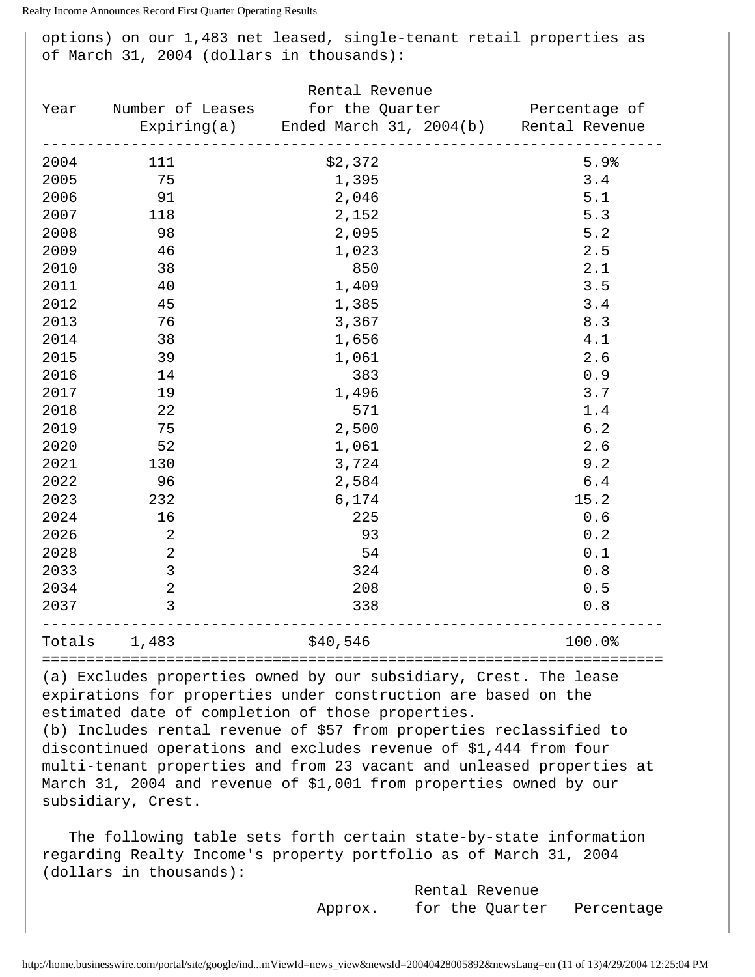options) on our 1,483 net leased, single-tenant retail properties as of March 31, 2004 (dollars in thousands):

| Rental Revenue                                                                                                                                                                                                                                                                                                                                                                                                                                                                                            |                  |                                                    |  |                               |  |  |
|-----------------------------------------------------------------------------------------------------------------------------------------------------------------------------------------------------------------------------------------------------------------------------------------------------------------------------------------------------------------------------------------------------------------------------------------------------------------------------------------------------------|------------------|----------------------------------------------------|--|-------------------------------|--|--|
| Year                                                                                                                                                                                                                                                                                                                                                                                                                                                                                                      | Number of Leases |                                                    |  | for the Quarter Tercentage of |  |  |
|                                                                                                                                                                                                                                                                                                                                                                                                                                                                                                           |                  | Expiring(a) Ended March 31, 2004(b) Rental Revenue |  |                               |  |  |
| 2004                                                                                                                                                                                                                                                                                                                                                                                                                                                                                                      | 111              | \$2,372                                            |  | 5.9%                          |  |  |
| 2005                                                                                                                                                                                                                                                                                                                                                                                                                                                                                                      | 75               | 1,395                                              |  | 3.4                           |  |  |
| 2006                                                                                                                                                                                                                                                                                                                                                                                                                                                                                                      | 91               | 2,046                                              |  | 5.1                           |  |  |
| 2007                                                                                                                                                                                                                                                                                                                                                                                                                                                                                                      | 118              | 2,152                                              |  | 5.3                           |  |  |
| 2008                                                                                                                                                                                                                                                                                                                                                                                                                                                                                                      | 98               | 2,095                                              |  | 5.2                           |  |  |
| 2009                                                                                                                                                                                                                                                                                                                                                                                                                                                                                                      | 46               | 1,023                                              |  | 2.5                           |  |  |
| 2010                                                                                                                                                                                                                                                                                                                                                                                                                                                                                                      | 38               | 850                                                |  | 2.1                           |  |  |
| 2011                                                                                                                                                                                                                                                                                                                                                                                                                                                                                                      | 40               | 1,409                                              |  | 3.5                           |  |  |
| 2012                                                                                                                                                                                                                                                                                                                                                                                                                                                                                                      | 45               | 1,385                                              |  | 3.4                           |  |  |
| 2013                                                                                                                                                                                                                                                                                                                                                                                                                                                                                                      | 76               | 3,367                                              |  | 8.3                           |  |  |
| 2014                                                                                                                                                                                                                                                                                                                                                                                                                                                                                                      | 38               | 1,656                                              |  | 4.1                           |  |  |
| 2015                                                                                                                                                                                                                                                                                                                                                                                                                                                                                                      | 39               | 1,061                                              |  | 2.6                           |  |  |
| 2016                                                                                                                                                                                                                                                                                                                                                                                                                                                                                                      | 14               | 383                                                |  | 0.9                           |  |  |
| 2017                                                                                                                                                                                                                                                                                                                                                                                                                                                                                                      | 19               | 1,496                                              |  | 3.7                           |  |  |
| 2018                                                                                                                                                                                                                                                                                                                                                                                                                                                                                                      | 22               | 571                                                |  | 1.4                           |  |  |
| 2019                                                                                                                                                                                                                                                                                                                                                                                                                                                                                                      | 75               | 2,500                                              |  | 6.2                           |  |  |
| 2020                                                                                                                                                                                                                                                                                                                                                                                                                                                                                                      | 52               | 1,061                                              |  | 2.6                           |  |  |
| 2021                                                                                                                                                                                                                                                                                                                                                                                                                                                                                                      | 130              | 3,724                                              |  | 9.2                           |  |  |
| 2022                                                                                                                                                                                                                                                                                                                                                                                                                                                                                                      | 96               | 2,584                                              |  | $6.4$                         |  |  |
| 2023                                                                                                                                                                                                                                                                                                                                                                                                                                                                                                      | 232              | 6,174                                              |  | 15.2                          |  |  |
| 2024                                                                                                                                                                                                                                                                                                                                                                                                                                                                                                      | 16               | 225                                                |  | 0.6                           |  |  |
| 2026                                                                                                                                                                                                                                                                                                                                                                                                                                                                                                      | 2                | 93                                                 |  | 0.2                           |  |  |
| 2028                                                                                                                                                                                                                                                                                                                                                                                                                                                                                                      | $\sqrt{2}$       | 54                                                 |  | 0.1                           |  |  |
| 2033                                                                                                                                                                                                                                                                                                                                                                                                                                                                                                      | 3                | 324                                                |  | 0.8                           |  |  |
| 2034                                                                                                                                                                                                                                                                                                                                                                                                                                                                                                      | $\overline{a}$   | 208                                                |  | 0.5                           |  |  |
| 2037                                                                                                                                                                                                                                                                                                                                                                                                                                                                                                      | 3                | 338                                                |  | 0.8                           |  |  |
| Totals                                                                                                                                                                                                                                                                                                                                                                                                                                                                                                    | 1,483            | \$40,546                                           |  | 100.0%                        |  |  |
| (a) Excludes properties owned by our subsidiary, Crest. The lease<br>expirations for properties under construction are based on the<br>estimated date of completion of those properties.<br>(b) Includes rental revenue of \$57 from properties reclassified to<br>discontinued operations and excludes revenue of \$1,444 from four<br>multi-tenant properties and from 23 vacant and unleased properties at<br>March 31, 2004 and revenue of \$1,001 from properties owned by our<br>subsidiary, Crest. |                  |                                                    |  |                               |  |  |
| The following table sets forth certain state-by-state information<br>regarding Realty Income's property portfolio as of March 31, 2004                                                                                                                                                                                                                                                                                                                                                                    |                  |                                                    |  |                               |  |  |

(dollars in thousands):

 Rental Revenue Approx. for the Quarter Percentage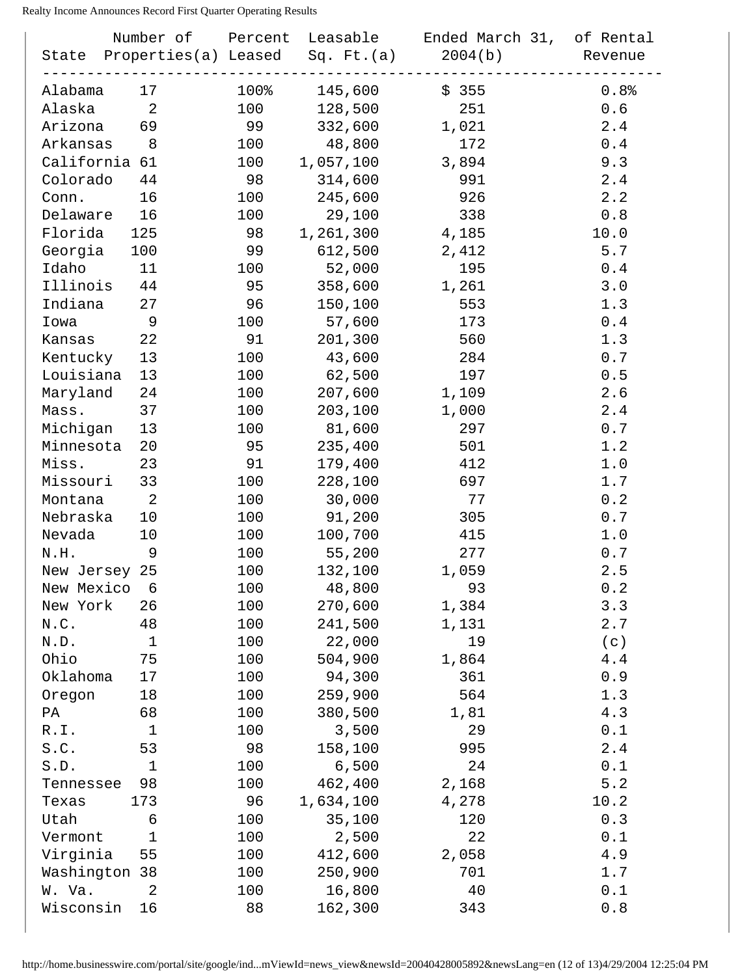|            | State Properties(a) Leased Sq. Ft.(a) |      |           | Number of Percent Leasable Ended March 31, of Rental<br>2004(b) | Revenue    |
|------------|---------------------------------------|------|-----------|-----------------------------------------------------------------|------------|
| Alabama    | 17                                    | 100% | 145,600   | \$355                                                           | 0.8%       |
| Alaska     | 2                                     | 100  | 128,500   | 251                                                             | 0.6        |
| Arizona    | 69                                    | 99   | 332,600   | 1,021                                                           | 2.4        |
| Arkansas   | 8                                     | 100  | 48,800    | 172                                                             | $0.4$      |
|            | California 61                         | 100  | 1,057,100 | 3,894                                                           | 9.3        |
| Colorado   | 44                                    | 98   | 314,600   | 991                                                             | 2.4        |
| Conn.      | 16                                    | 100  | 245,600   | 926                                                             | 2.2        |
| Delaware   | 16                                    | 100  | 29,100    | 338                                                             | 0.8        |
| Florida    | 125                                   | 98   | 1,261,300 | 4,185                                                           | 10.0       |
| Georgia    | 100                                   | 99   | 612,500   | 2,412                                                           | 5.7        |
| Idaho      | 11                                    | 100  | 52,000    | 195                                                             | 0.4        |
| Illinois   | 44                                    | 95   | 358,600   | 1,261                                                           | 3.0        |
|            | 27                                    |      | 150,100   |                                                                 | 1.3        |
| Indiana    | 9                                     | 96   |           | 553<br>173                                                      |            |
| Iowa       |                                       | 100  | 57,600    |                                                                 | 0.4<br>1.3 |
| Kansas     | 22                                    | 91   | 201,300   | 560                                                             |            |
| Kentucky   | 13                                    | 100  | 43,600    | 284                                                             | 0.7        |
| Louisiana  | 13                                    | 100  | 62,500    | 197                                                             | 0.5        |
| Maryland   | 24                                    | 100  | 207,600   | 1,109                                                           | 2.6        |
| Mass.      | 37                                    | 100  | 203,100   | 1,000                                                           | 2.4        |
| Michigan   | 13                                    | 100  | 81,600    | 297                                                             | 0.7        |
| Minnesota  | 20                                    | 95   | 235,400   | 501                                                             | 1.2        |
| Miss.      | 23                                    | 91   | 179,400   | 412                                                             | 1.0        |
| Missouri   | 33                                    | 100  | 228,100   | 697                                                             | 1.7        |
| Montana    | 2                                     | 100  | 30,000    | 77                                                              | 0.2        |
| Nebraska   | 10                                    | 100  | 91,200    | 305                                                             | 0.7        |
| Nevada     | 10                                    | 100  | 100,700   | 415                                                             | 1.0        |
| N.H.       | 9                                     | 100  | 55,200    | 277                                                             | 0.7        |
|            | New Jersey 25                         | 100  | 132,100   | 1,059                                                           | 2.5        |
| New Mexico | 6                                     | 100  | 48,800    | 93                                                              | 0.2        |
| New York   | 26                                    | 100  | 270,600   | 1,384                                                           | 3.3        |
| N.C.       | 48                                    | 100  | 241,500   | 1,131                                                           | 2.7        |
| N.D.       | $\mathbf 1$                           | 100  | 22,000    | 19                                                              | (c)        |
| Ohio       | 75                                    | 100  | 504,900   | 1,864                                                           | 4.4        |
| Oklahoma   | 17                                    | 100  | 94,300    | 361                                                             | 0.9        |
| Oregon     | 18                                    | 100  | 259,900   | 564                                                             | 1.3        |
| PA         | 68                                    | 100  | 380,500   | 1,81                                                            | 4.3        |
| R.I.       | 1                                     | 100  | 3,500     | 29                                                              | 0.1        |
| S.C.       | 53                                    | 98   | 158,100   | 995                                                             | 2.4        |
| S.D.       | 1                                     | 100  | 6,500     | 24                                                              | 0.1        |
| Tennessee  | 98                                    | 100  | 462,400   | 2,168                                                           | 5.2        |
| Texas      | 173                                   | 96   | 1,634,100 | 4,278                                                           | 10.2       |
| Utah       | 6                                     | 100  | 35,100    | 120                                                             | 0.3        |
| Vermont    | $\mathbf 1$                           | 100  | 2,500     | 22                                                              | 0.1        |
| Virginia   | 55                                    | 100  | 412,600   | 2,058                                                           | 4.9        |
|            | Washington 38                         | 100  | 250,900   | 701                                                             | 1.7        |
| W. Va.     | 2                                     | 100  | 16,800    | 40                                                              | 0.1        |
| Wisconsin  | 16                                    | 88   | 162,300   | 343                                                             | 0.8        |